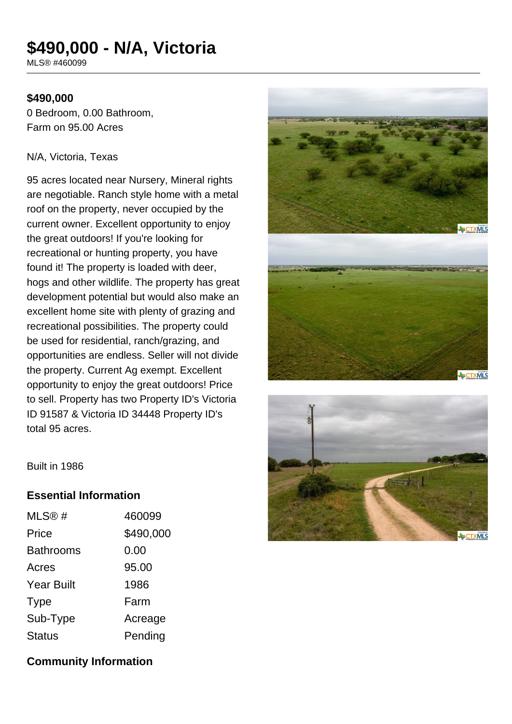# **\$490,000 - N/A, Victoria**

MLS® #460099

## **\$490,000**

0 Bedroom, 0.00 Bathroom, Farm on 95.00 Acres

#### N/A, Victoria, Texas

95 acres located near Nursery, Mineral rights are negotiable. Ranch style home with a metal roof on the property, never occupied by the current owner. Excellent opportunity to enjoy the great outdoors! If you're looking for recreational or hunting property, you have found it! The property is loaded with deer, hogs and other wildlife. The property has great development potential but would also make an excellent home site with plenty of grazing and recreational possibilities. The property could be used for residential, ranch/grazing, and opportunities are endless. Seller will not divide the property. Current Ag exempt. Excellent opportunity to enjoy the great outdoors! Price to sell. Property has two Property ID's Victoria ID 91587 & Victoria ID 34448 Property ID's total 95 acres.





Built in 1986

# **Essential Information**

| 460099    |
|-----------|
| \$490,000 |
| 0.00      |
| 95.00     |
| 1986      |
| Farm      |
| Acreage   |
| Pending   |
|           |

**Community Information**